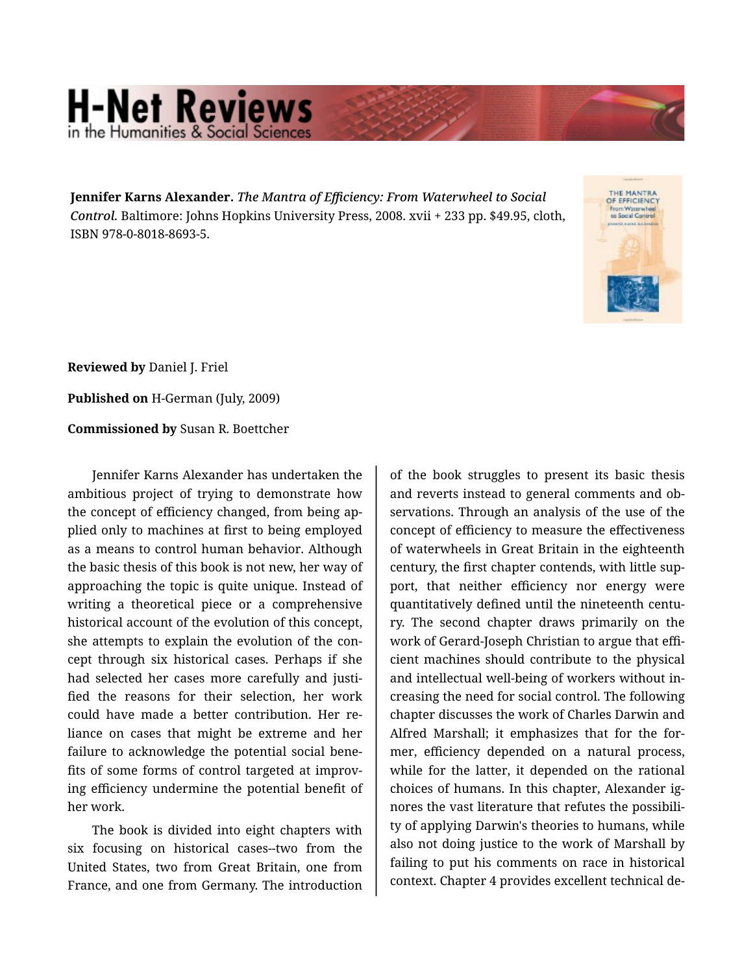## **H-Net Reviews** in the Humanities & Social Scier

**Jennifer Karns Alexander.** *The Mantra of Efficiency: From Waterwheel to Social Control.* Baltimore: Johns Hopkins University Press, 2008. xvii + 233 pp. \$49.95, cloth, ISBN 978-0-8018-8693-5.



**Reviewed by** Daniel J. Friel

**Published on** H-German (July, 2009)

**Commissioned by** Susan R. Boettcher

Jennifer Karns Alexander has undertaken the ambitious project of trying to demonstrate how the concept of efficiency changed, from being ap‐ plied only to machines at first to being employed as a means to control human behavior. Although the basic thesis of this book is not new, her way of approaching the topic is quite unique. Instead of writing a theoretical piece or a comprehensive historical account of the evolution of this concept, she attempts to explain the evolution of the con‐ cept through six historical cases. Perhaps if she had selected her cases more carefully and justi‐ fied the reasons for their selection, her work could have made a better contribution. Her re‐ liance on cases that might be extreme and her failure to acknowledge the potential social bene‐ fits of some forms of control targeted at improv‐ ing efficiency undermine the potential benefit of her work.

The book is divided into eight chapters with six focusing on historical cases--two from the United States, two from Great Britain, one from France, and one from Germany. The introduction of the book struggles to present its basic thesis and reverts instead to general comments and ob‐ servations. Through an analysis of the use of the concept of efficiency to measure the effectiveness of waterwheels in Great Britain in the eighteenth century, the first chapter contends, with little sup‐ port, that neither efficiency nor energy were quantitatively defined until the nineteenth centu‐ ry. The second chapter draws primarily on the work of Gerard-Joseph Christian to argue that effi‐ cient machines should contribute to the physical and intellectual well-being of workers without in‐ creasing the need for social control. The following chapter discusses the work of Charles Darwin and Alfred Marshall; it emphasizes that for the for‐ mer, efficiency depended on a natural process, while for the latter, it depended on the rational choices of humans. In this chapter, Alexander ig‐ nores the vast literature that refutes the possibili‐ ty of applying Darwin's theories to humans, while also not doing justice to the work of Marshall by failing to put his comments on race in historical context. Chapter 4 provides excellent technical de‐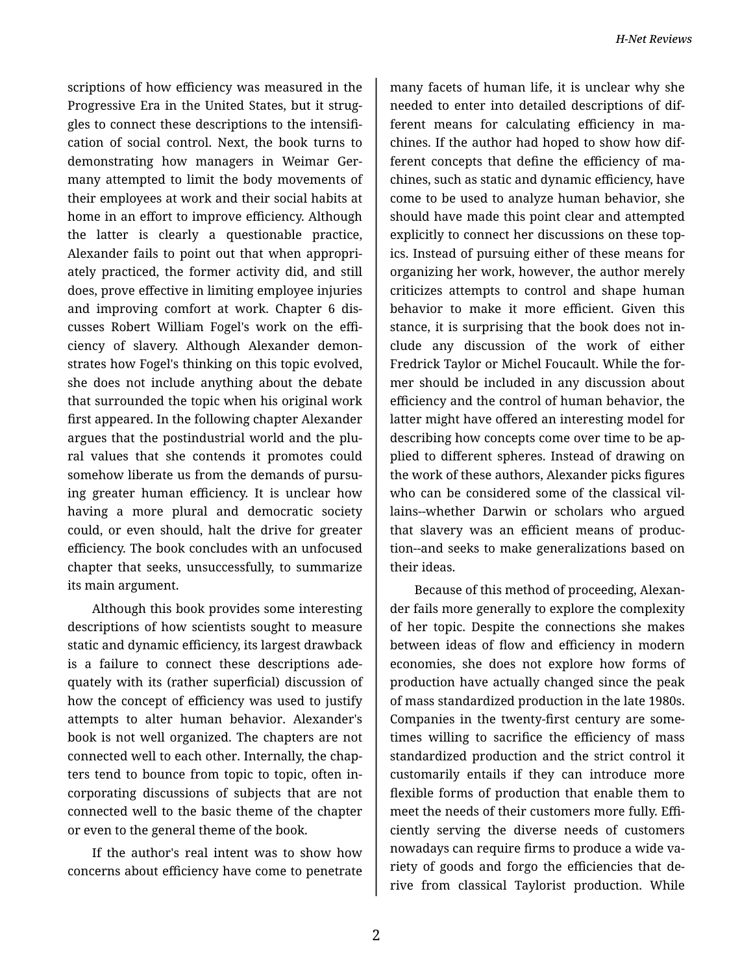scriptions of how efficiency was measured in the Progressive Era in the United States, but it strug‐ gles to connect these descriptions to the intensifi‐ cation of social control. Next, the book turns to demonstrating how managers in Weimar Ger‐ many attempted to limit the body movements of their employees at work and their social habits at home in an effort to improve efficiency. Although the latter is clearly a questionable practice, Alexander fails to point out that when appropri‐ ately practiced, the former activity did, and still does, prove effective in limiting employee injuries and improving comfort at work. Chapter 6 dis‐ cusses Robert William Fogel's work on the effi‐ ciency of slavery. Although Alexander demon‐ strates how Fogel's thinking on this topic evolved, she does not include anything about the debate that surrounded the topic when his original work first appeared. In the following chapter Alexander argues that the postindustrial world and the plu‐ ral values that she contends it promotes could somehow liberate us from the demands of pursuing greater human efficiency. It is unclear how having a more plural and democratic society could, or even should, halt the drive for greater efficiency. The book concludes with an unfocused chapter that seeks, unsuccessfully, to summarize its main argument.

Although this book provides some interesting descriptions of how scientists sought to measure static and dynamic efficiency, its largest drawback is a failure to connect these descriptions ade‐ quately with its (rather superficial) discussion of how the concept of efficiency was used to justify attempts to alter human behavior. Alexander's book is not well organized. The chapters are not connected well to each other. Internally, the chap‐ ters tend to bounce from topic to topic, often in‐ corporating discussions of subjects that are not connected well to the basic theme of the chapter or even to the general theme of the book.

If the author's real intent was to show how concerns about efficiency have come to penetrate

many facets of human life, it is unclear why she needed to enter into detailed descriptions of dif‐ ferent means for calculating efficiency in machines. If the author had hoped to show how dif‐ ferent concepts that define the efficiency of ma‐ chines, such as static and dynamic efficiency, have come to be used to analyze human behavior, she should have made this point clear and attempted explicitly to connect her discussions on these top‐ ics. Instead of pursuing either of these means for organizing her work, however, the author merely criticizes attempts to control and shape human behavior to make it more efficient. Given this stance, it is surprising that the book does not in‐ clude any discussion of the work of either Fredrick Taylor or Michel Foucault. While the for‐ mer should be included in any discussion about efficiency and the control of human behavior, the latter might have offered an interesting model for describing how concepts come over time to be ap‐ plied to different spheres. Instead of drawing on the work of these authors, Alexander picks figures who can be considered some of the classical vil‐ lains--whether Darwin or scholars who argued that slavery was an efficient means of produc‐ tion--and seeks to make generalizations based on their ideas.

Because of this method of proceeding, Alexan‐ der fails more generally to explore the complexity of her topic. Despite the connections she makes between ideas of flow and efficiency in modern economies, she does not explore how forms of production have actually changed since the peak of mass standardized production in the late 1980s. Companies in the twenty-first century are some‐ times willing to sacrifice the efficiency of mass standardized production and the strict control it customarily entails if they can introduce more flexible forms of production that enable them to meet the needs of their customers more fully. Effi‐ ciently serving the diverse needs of customers nowadays can require firms to produce a wide va‐ riety of goods and forgo the efficiencies that de‐ rive from classical Taylorist production. While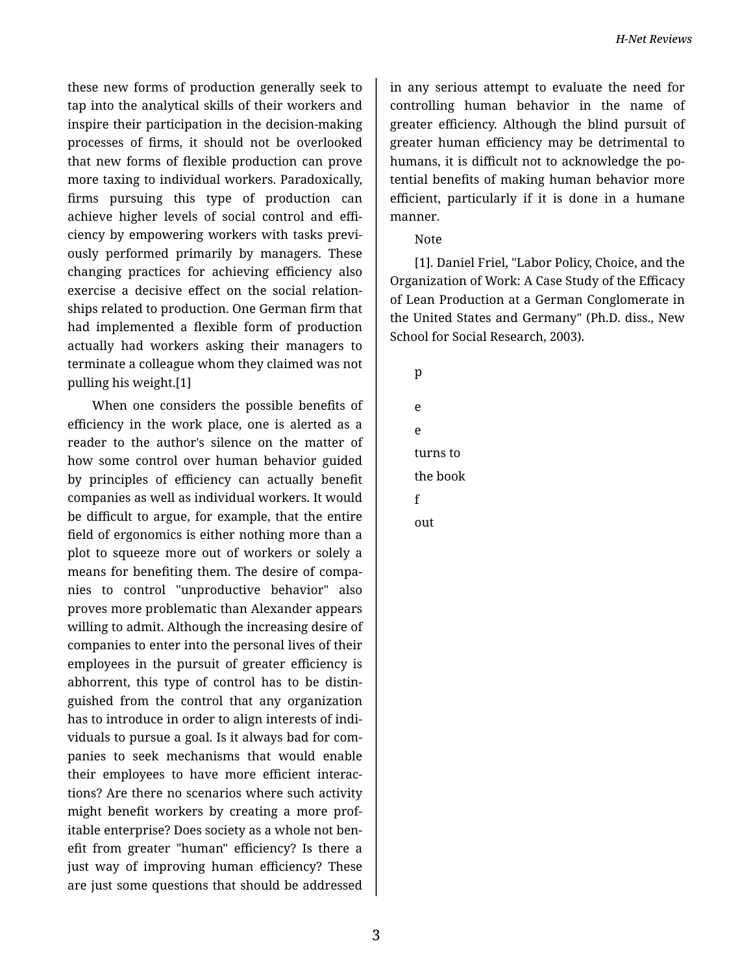these new forms of production generally seek to tap into the analytical skills of their workers and inspire their participation in the decision-making processes of firms, it should not be overlooked that new forms of flexible production can prove more taxing to individual workers. Paradoxically, firms pursuing this type of production can achieve higher levels of social control and effi‐ ciency by empowering workers with tasks previ‐ ously performed primarily by managers. These changing practices for achieving efficiency also exercise a decisive effect on the social relation‐ ships related to production. One German firm that had implemented a flexible form of production actually had workers asking their managers to terminate a colleague whom they claimed was not pulling his weight.[1]

When one considers the possible benefits of efficiency in the work place, one is alerted as a reader to the author's silence on the matter of how some control over human behavior guided by principles of efficiency can actually benefit companies as well as individual workers. It would be difficult to argue, for example, that the entire field of ergonomics is either nothing more than a plot to squeeze more out of workers or solely a means for benefiting them. The desire of compa‐ nies to control "unproductive behavior" also proves more problematic than Alexander appears willing to admit. Although the increasing desire of companies to enter into the personal lives of their employees in the pursuit of greater efficiency is abhorrent, this type of control has to be distin‐ guished from the control that any organization has to introduce in order to align interests of indi‐ viduals to pursue a goal. Is it always bad for com‐ panies to seek mechanisms that would enable their employees to have more efficient interac‐ tions? Are there no scenarios where such activity might benefit workers by creating a more prof‐ itable enterprise? Does society as a whole not ben‐ efit from greater "human" efficiency? Is there a just way of improving human efficiency? These are just some questions that should be addressed

in any serious attempt to evaluate the need for controlling human behavior in the name of greater efficiency. Although the blind pursuit of greater human efficiency may be detrimental to humans, it is difficult not to acknowledge the po‐ tential benefits of making human behavior more efficient, particularly if it is done in a humane manner.

## Note

[1]. Daniel Friel, "Labor Policy, Choice, and the Organization of Work: A Case Study of the Efficacy of Lean Production at a German Conglomerate in the United States and Germany" (Ph.D. diss., New School for Social Research, 2003).

| ٠                  |  |
|--------------------|--|
|                    |  |
| I                  |  |
| I<br>$\sim$<br>n a |  |
|                    |  |

e e turns to the book f out